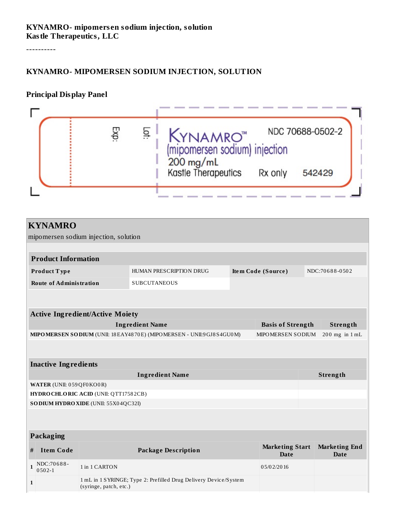#### **KYNAMRO- mipomers en sodium injection, solution Kastle Therapeutics, LLC**

----------

#### **KYNAMRO- MIPOMERSEN SODIUM INJECTION, SOLUTION**

#### **Principal Display Panel**



| HUMAN PRESCRIPTION DRUG<br>Item Code (Source)<br>Product Type            |                                       |                                     | NDC:70688-0502                                                              |  |  |  |
|--------------------------------------------------------------------------|---------------------------------------|-------------------------------------|-----------------------------------------------------------------------------|--|--|--|
|                                                                          |                                       |                                     |                                                                             |  |  |  |
|                                                                          |                                       |                                     |                                                                             |  |  |  |
|                                                                          |                                       |                                     |                                                                             |  |  |  |
|                                                                          |                                       |                                     |                                                                             |  |  |  |
| <b>Ingredient Name</b>                                                   |                                       |                                     |                                                                             |  |  |  |
| MIPO MERSEN SO DIUM (UNII: 18 EAY4870E) (MIPO MERSEN - UNII:9 GJ8S4GU0M) |                                       |                                     |                                                                             |  |  |  |
|                                                                          |                                       |                                     |                                                                             |  |  |  |
|                                                                          |                                       |                                     |                                                                             |  |  |  |
| <b>Inactive Ingredients</b>                                              |                                       |                                     |                                                                             |  |  |  |
| <b>Ingredient Name</b><br>Strength                                       |                                       |                                     |                                                                             |  |  |  |
| WATER (UNII: 059QF0KO0R)                                                 |                                       |                                     |                                                                             |  |  |  |
|                                                                          |                                       |                                     |                                                                             |  |  |  |
|                                                                          |                                       |                                     |                                                                             |  |  |  |
|                                                                          |                                       |                                     |                                                                             |  |  |  |
|                                                                          |                                       |                                     |                                                                             |  |  |  |
|                                                                          |                                       |                                     |                                                                             |  |  |  |
|                                                                          |                                       |                                     |                                                                             |  |  |  |
|                                                                          | <b>Marketing Start</b><br><b>Date</b> | <b>Marketing End</b><br><b>Date</b> |                                                                             |  |  |  |
|                                                                          | 05/02/2016                            |                                     |                                                                             |  |  |  |
|                                                                          |                                       |                                     | <b>Basis of Strength</b><br>Strength<br>MIPOMERSEN SODIUM<br>200 mg in 1 mL |  |  |  |